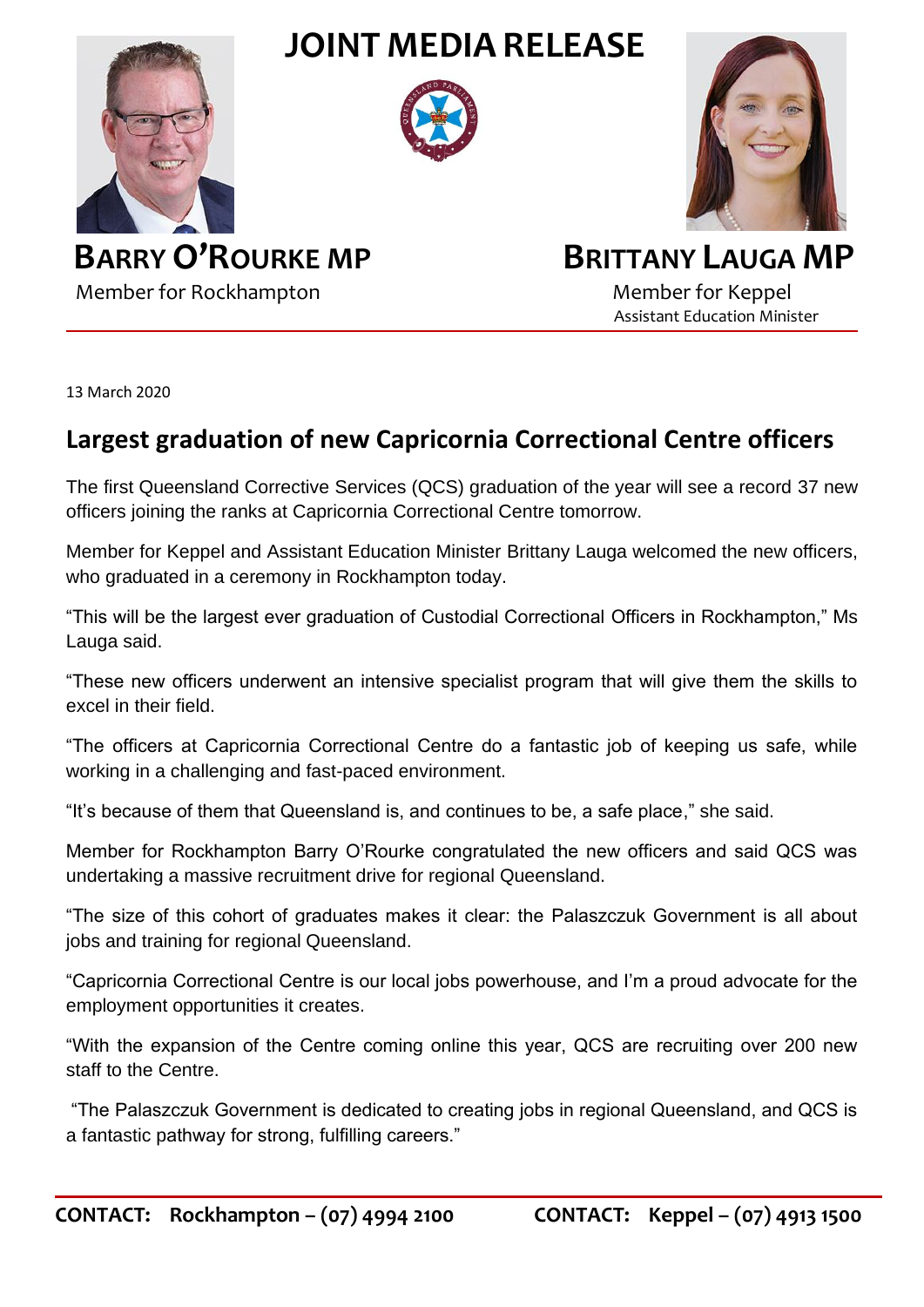

## **JOINT MEDIA RELEASE**





Member for Rockhampton Member for Keppel

## **BARRY O'ROURKE MP BRITTANY LAUGA MP**

Assistant Education Minister

13 March 2020

## **Largest graduation of new Capricornia Correctional Centre officers**

The first Queensland Corrective Services (QCS) graduation of the year will see a record 37 new officers joining the ranks at Capricornia Correctional Centre tomorrow.

Member for Keppel and Assistant Education Minister Brittany Lauga welcomed the new officers, who graduated in a ceremony in Rockhampton today.

"This will be the largest ever graduation of Custodial Correctional Officers in Rockhampton," Ms Lauga said.

"These new officers underwent an intensive specialist program that will give them the skills to excel in their field.

"The officers at Capricornia Correctional Centre do a fantastic job of keeping us safe, while working in a challenging and fast-paced environment.

"It's because of them that Queensland is, and continues to be, a safe place," she said.

Member for Rockhampton Barry O'Rourke congratulated the new officers and said QCS was undertaking a massive recruitment drive for regional Queensland.

"The size of this cohort of graduates makes it clear: the Palaszczuk Government is all about jobs and training for regional Queensland.

"Capricornia Correctional Centre is our local jobs powerhouse, and I'm a proud advocate for the employment opportunities it creates.

"With the expansion of the Centre coming online this year, QCS are recruiting over 200 new staff to the Centre.

"The Palaszczuk Government is dedicated to creating jobs in regional Queensland, and QCS is a fantastic pathway for strong, fulfilling careers."